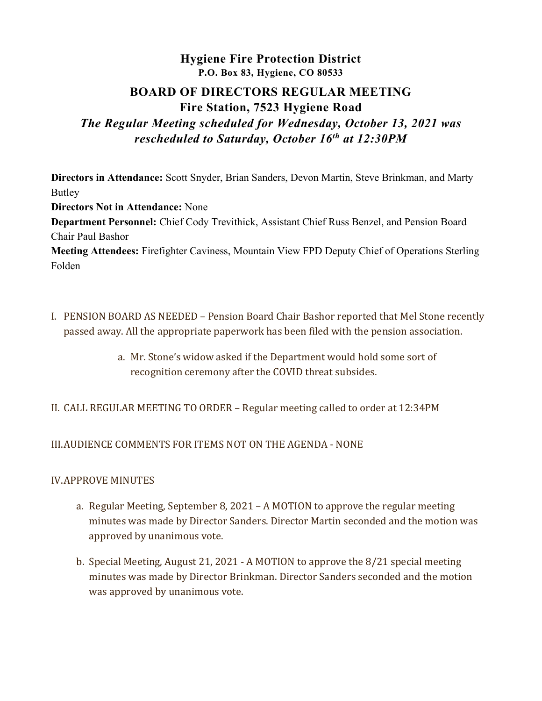# Hygiene Fire Protection District P.O. Box 83, Hygiene, CO 80533

# BOARD OF DIRECTORS REGULAR MEETING Fire Station, 7523 Hygiene Road

# The Regular Meeting scheduled for Wednesday, October 13, 2021 was rescheduled to Saturday, October 16<sup>th</sup> at 12:30PM

Directors in Attendance: Scott Snyder, Brian Sanders, Devon Martin, Steve Brinkman, and Marty Butley

Directors Not in Attendance: None

Department Personnel: Chief Cody Trevithick, Assistant Chief Russ Benzel, and Pension Board Chair Paul Bashor

Meeting Attendees: Firefighter Caviness, Mountain View FPD Deputy Chief of Operations Sterling Folden

- I. PENSION BOARD AS NEEDED Pension Board Chair Bashor reported that Mel Stone recently passed away. All the appropriate paperwork has been filed with the pension association.
	- a. Mr. Stone's widow asked if the Department would hold some sort of recognition ceremony after the COVID threat subsides.
- II. CALL REGULAR MEETING TO ORDER Regular meeting called to order at 12:34PM

# III.AUDIENCE COMMENTS FOR ITEMS NOT ON THE AGENDA - NONE

## IV.APPROVE MINUTES

- a. Regular Meeting, September 8, 2021 A MOTION to approve the regular meeting minutes was made by Director Sanders. Director Martin seconded and the motion was approved by unanimous vote.
- b. Special Meeting, August 21, 2021 A MOTION to approve the 8/21 special meeting minutes was made by Director Brinkman. Director Sanders seconded and the motion was approved by unanimous vote.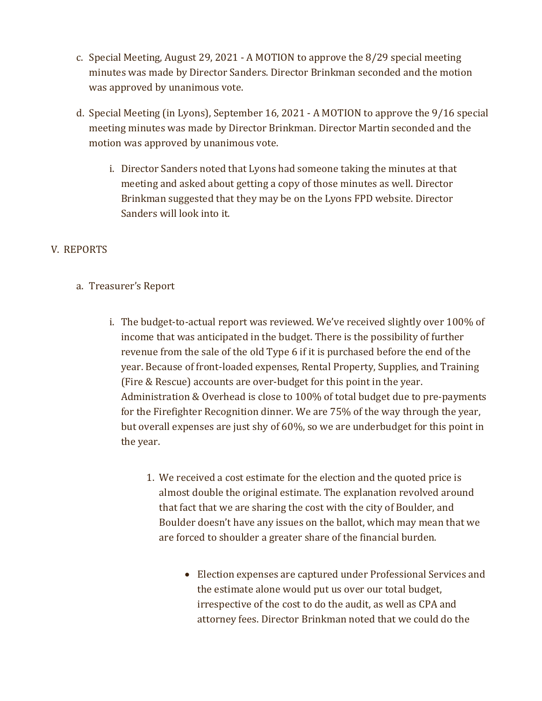- c. Special Meeting, August 29, 2021 A MOTION to approve the 8/29 special meeting minutes was made by Director Sanders. Director Brinkman seconded and the motion was approved by unanimous vote.
- d. Special Meeting (in Lyons), September 16, 2021 A MOTION to approve the 9/16 special meeting minutes was made by Director Brinkman. Director Martin seconded and the motion was approved by unanimous vote.
	- i. Director Sanders noted that Lyons had someone taking the minutes at that meeting and asked about getting a copy of those minutes as well. Director Brinkman suggested that they may be on the Lyons FPD website. Director Sanders will look into it.

# V. REPORTS

# a. Treasurer's Report

- i. The budget-to-actual report was reviewed. We've received slightly over 100% of income that was anticipated in the budget. There is the possibility of further revenue from the sale of the old Type 6 if it is purchased before the end of the year. Because of front-loaded expenses, Rental Property, Supplies, and Training (Fire & Rescue) accounts are over-budget for this point in the year. Administration & Overhead is close to 100% of total budget due to pre-payments for the Firefighter Recognition dinner. We are 75% of the way through the year, but overall expenses are just shy of 60%, so we are underbudget for this point in the year.
	- 1. We received a cost estimate for the election and the quoted price is almost double the original estimate. The explanation revolved around that fact that we are sharing the cost with the city of Boulder, and Boulder doesn't have any issues on the ballot, which may mean that we are forced to shoulder a greater share of the financial burden.
		- Election expenses are captured under Professional Services and the estimate alone would put us over our total budget, irrespective of the cost to do the audit, as well as CPA and attorney fees. Director Brinkman noted that we could do the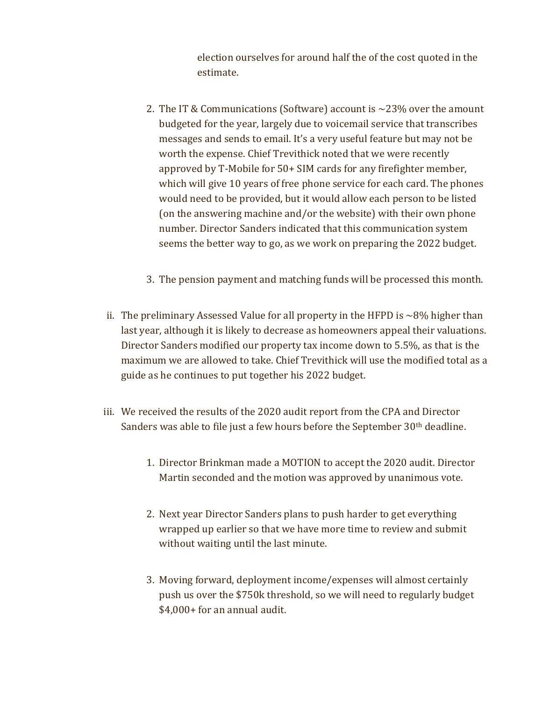election ourselves for around half the of the cost quoted in the estimate.

- 2. The IT & Communications (Software) account is  $\sim$ 23% over the amount budgeted for the year, largely due to voicemail service that transcribes messages and sends to email. It's a very useful feature but may not be worth the expense. Chief Trevithick noted that we were recently approved by T-Mobile for 50+ SIM cards for any firefighter member, which will give 10 years of free phone service for each card. The phones would need to be provided, but it would allow each person to be listed (on the answering machine and/or the website) with their own phone number. Director Sanders indicated that this communication system seems the better way to go, as we work on preparing the 2022 budget.
- 3. The pension payment and matching funds will be processed this month.
- ii. The preliminary Assessed Value for all property in the HFPD is  $\sim$ 8% higher than last year, although it is likely to decrease as homeowners appeal their valuations. Director Sanders modified our property tax income down to 5.5%, as that is the maximum we are allowed to take. Chief Trevithick will use the modified total as a guide as he continues to put together his 2022 budget.
- iii. We received the results of the 2020 audit report from the CPA and Director Sanders was able to file just a few hours before the September 30<sup>th</sup> deadline.
	- 1. Director Brinkman made a MOTION to accept the 2020 audit. Director Martin seconded and the motion was approved by unanimous vote.
	- 2. Next year Director Sanders plans to push harder to get everything wrapped up earlier so that we have more time to review and submit without waiting until the last minute.
	- 3. Moving forward, deployment income/expenses will almost certainly push us over the \$750k threshold, so we will need to regularly budget \$4,000+ for an annual audit.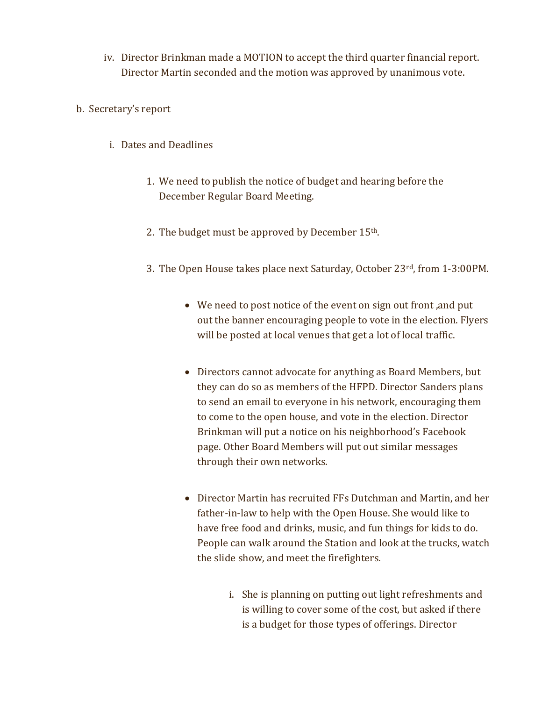- iv. Director Brinkman made a MOTION to accept the third quarter financial report. Director Martin seconded and the motion was approved by unanimous vote.
- b. Secretary's report
	- i. Dates and Deadlines
		- 1. We need to publish the notice of budget and hearing before the December Regular Board Meeting.
		- 2. The budget must be approved by December  $15<sup>th</sup>$ .
		- 3. The Open House takes place next Saturday, October 23rd, from 1-3:00PM.
			- We need to post notice of the event on sign out front ,and put out the banner encouraging people to vote in the election. Flyers will be posted at local venues that get a lot of local traffic.
			- Directors cannot advocate for anything as Board Members, but they can do so as members of the HFPD. Director Sanders plans to send an email to everyone in his network, encouraging them to come to the open house, and vote in the election. Director Brinkman will put a notice on his neighborhood's Facebook page. Other Board Members will put out similar messages through their own networks.
			- Director Martin has recruited FFs Dutchman and Martin, and her father-in-law to help with the Open House. She would like to have free food and drinks, music, and fun things for kids to do. People can walk around the Station and look at the trucks, watch the slide show, and meet the firefighters.
				- i. She is planning on putting out light refreshments and is willing to cover some of the cost, but asked if there is a budget for those types of offerings. Director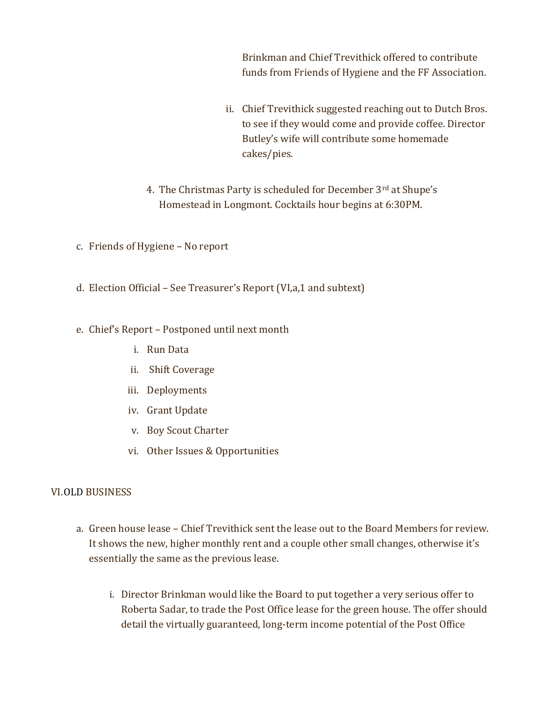Brinkman and Chief Trevithick offered to contribute funds from Friends of Hygiene and the FF Association.

- ii. Chief Trevithick suggested reaching out to Dutch Bros. to see if they would come and provide coffee. Director Butley's wife will contribute some homemade cakes/pies.
- 4. The Christmas Party is scheduled for December 3rd at Shupe's Homestead in Longmont. Cocktails hour begins at 6:30PM.
- c. Friends of Hygiene No report
- d. Election Official See Treasurer's Report (VI,a,1 and subtext)
- e. Chief's Report Postponed until next month
	- i. Run Data
	- ii. Shift Coverage
	- iii. Deployments
	- iv. Grant Update
	- v. Boy Scout Charter
	- vi. Other Issues & Opportunities

## VI.OLD BUSINESS

- a. Green house lease Chief Trevithick sent the lease out to the Board Members for review. It shows the new, higher monthly rent and a couple other small changes, otherwise it's essentially the same as the previous lease.
	- i. Director Brinkman would like the Board to put together a very serious offer to Roberta Sadar, to trade the Post Office lease for the green house. The offer should detail the virtually guaranteed, long-term income potential of the Post Office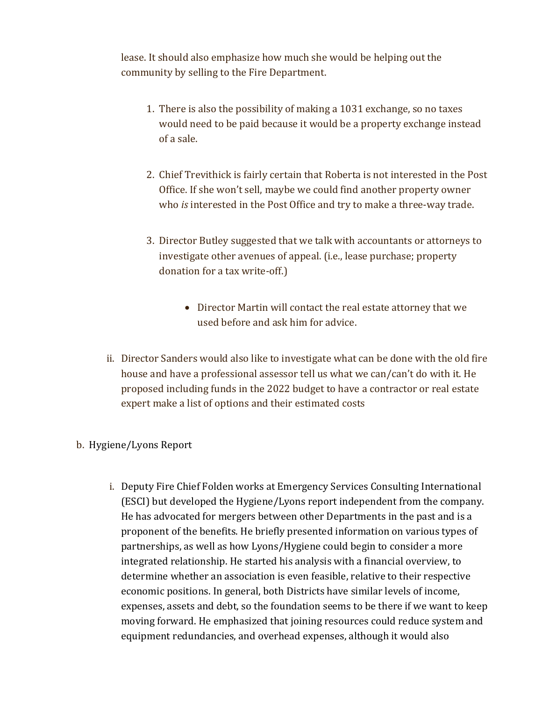lease. It should also emphasize how much she would be helping out the community by selling to the Fire Department.

- 1. There is also the possibility of making a 1031 exchange, so no taxes would need to be paid because it would be a property exchange instead of a sale.
- 2. Chief Trevithick is fairly certain that Roberta is not interested in the Post Office. If she won't sell, maybe we could find another property owner who is interested in the Post Office and try to make a three-way trade.
- 3. Director Butley suggested that we talk with accountants or attorneys to investigate other avenues of appeal. (i.e., lease purchase; property donation for a tax write-off.)
	- Director Martin will contact the real estate attorney that we used before and ask him for advice.
- ii. Director Sanders would also like to investigate what can be done with the old fire house and have a professional assessor tell us what we can/can't do with it. He proposed including funds in the 2022 budget to have a contractor or real estate expert make a list of options and their estimated costs

## b. Hygiene/Lyons Report

i. Deputy Fire Chief Folden works at Emergency Services Consulting International (ESCI) but developed the Hygiene/Lyons report independent from the company. He has advocated for mergers between other Departments in the past and is a proponent of the benefits. He briefly presented information on various types of partnerships, as well as how Lyons/Hygiene could begin to consider a more integrated relationship. He started his analysis with a financial overview, to determine whether an association is even feasible, relative to their respective economic positions. In general, both Districts have similar levels of income, expenses, assets and debt, so the foundation seems to be there if we want to keep moving forward. He emphasized that joining resources could reduce system and equipment redundancies, and overhead expenses, although it would also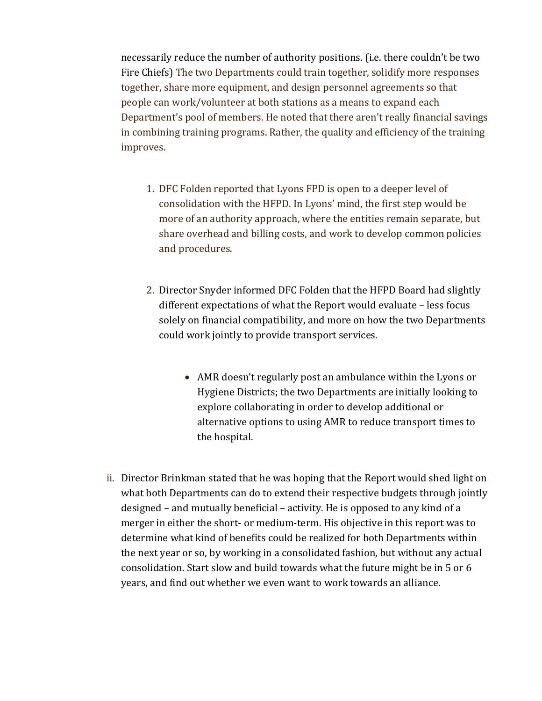necessarily reduce the number of authority positions. (i.e. there couldn't be two Fire Chiefs) The two Departments could train together, solidify more responses together, share more equipment, and design personnel agreements so that people can work/volunteer at both stations as a means to expand each Department's pool of members. He noted that there aren't really financial savings in combining training programs. Rather, the quality and efficiency of the training improves.

- 1. DFC Folden reported that Lyons FPD is open to a deeper level of consolidation with the HFPD. In Lyons' mind, the first step would be more of an authority approach, where the entities remain separate, but share overhead and billing costs, and work to develop common policies and procedures.
- 2. Director Snyder informed DFC Folden that the HFPD Board had slightly different expectations of what the Report would evaluate – less focus solely on financial compatibility, and more on how the two Departments could work jointly to provide transport services.
	- AMR doesn't regularly post an ambulance within the Lyons or Hygiene Districts; the two Departments are initially looking to explore collaborating in order to develop additional or alternative options to using AMR to reduce transport times to the hospital.
- ii. Director Brinkman stated that he was hoping that the Report would shed light on what both Departments can do to extend their respective budgets through jointly designed – and mutually beneficial – activity. He is opposed to any kind of a merger in either the short- or medium-term. His objective in this report was to determine what kind of benefits could be realized for both Departments within the next year or so, by working in a consolidated fashion, but without any actual consolidation. Start slow and build towards what the future might be in 5 or 6 years, and find out whether we even want to work towards an alliance.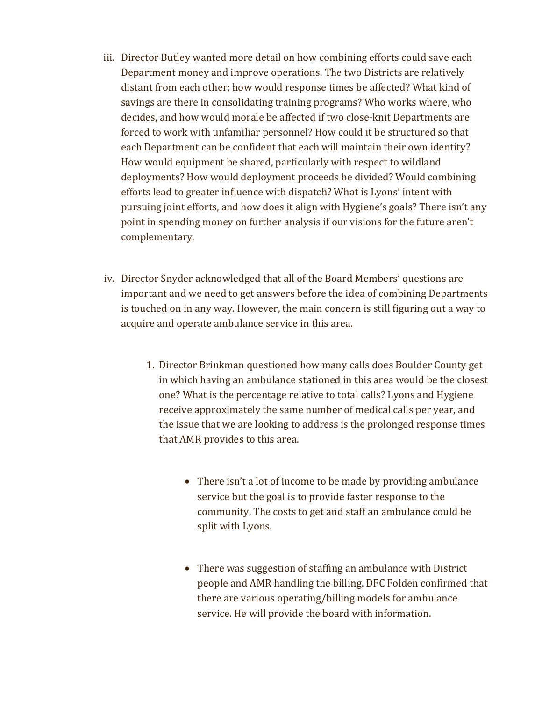- iii. Director Butley wanted more detail on how combining efforts could save each Department money and improve operations. The two Districts are relatively distant from each other; how would response times be affected? What kind of savings are there in consolidating training programs? Who works where, who decides, and how would morale be affected if two close-knit Departments are forced to work with unfamiliar personnel? How could it be structured so that each Department can be confident that each will maintain their own identity? How would equipment be shared, particularly with respect to wildland deployments? How would deployment proceeds be divided? Would combining efforts lead to greater influence with dispatch? What is Lyons' intent with pursuing joint efforts, and how does it align with Hygiene's goals? There isn't any point in spending money on further analysis if our visions for the future aren't complementary.
- iv. Director Snyder acknowledged that all of the Board Members' questions are important and we need to get answers before the idea of combining Departments is touched on in any way. However, the main concern is still figuring out a way to acquire and operate ambulance service in this area.
	- 1. Director Brinkman questioned how many calls does Boulder County get in which having an ambulance stationed in this area would be the closest one? What is the percentage relative to total calls? Lyons and Hygiene receive approximately the same number of medical calls per year, and the issue that we are looking to address is the prolonged response times that AMR provides to this area.
		- There isn't a lot of income to be made by providing ambulance service but the goal is to provide faster response to the community. The costs to get and staff an ambulance could be split with Lyons.
		- There was suggestion of staffing an ambulance with District people and AMR handling the billing. DFC Folden confirmed that there are various operating/billing models for ambulance service. He will provide the board with information.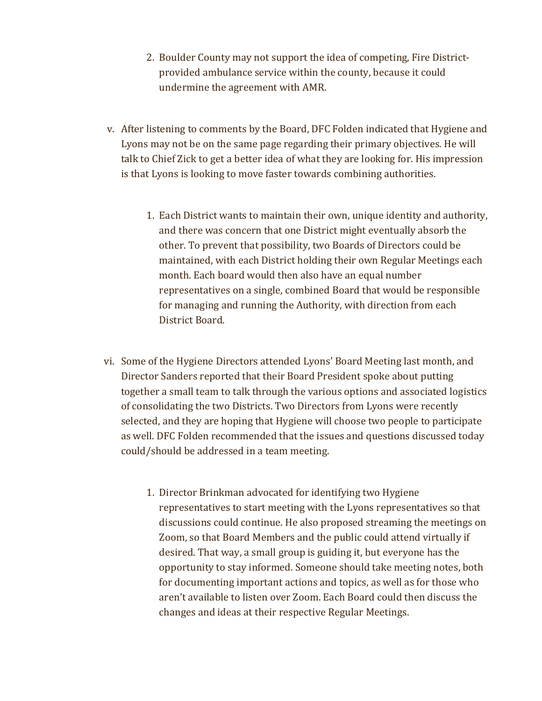- 2. Boulder County may not support the idea of competing, Fire Districtprovided ambulance service within the county, because it could undermine the agreement with AMR.
- v. After listening to comments by the Board, DFC Folden indicated that Hygiene and Lyons may not be on the same page regarding their primary objectives. He will talk to Chief Zick to get a better idea of what they are looking for. His impression is that Lyons is looking to move faster towards combining authorities.
	- 1. Each District wants to maintain their own, unique identity and authority, and there was concern that one District might eventually absorb the other. To prevent that possibility, two Boards of Directors could be maintained, with each District holding their own Regular Meetings each month. Each board would then also have an equal number representatives on a single, combined Board that would be responsible for managing and running the Authority, with direction from each District Board.
- vi. Some of the Hygiene Directors attended Lyons' Board Meeting last month, and Director Sanders reported that their Board President spoke about putting together a small team to talk through the various options and associated logistics of consolidating the two Districts. Two Directors from Lyons were recently selected, and they are hoping that Hygiene will choose two people to participate as well. DFC Folden recommended that the issues and questions discussed today could/should be addressed in a team meeting.
	- 1. Director Brinkman advocated for identifying two Hygiene representatives to start meeting with the Lyons representatives so that discussions could continue. He also proposed streaming the meetings on Zoom, so that Board Members and the public could attend virtually if desired. That way, a small group is guiding it, but everyone has the opportunity to stay informed. Someone should take meeting notes, both for documenting important actions and topics, as well as for those who aren't available to listen over Zoom. Each Board could then discuss the changes and ideas at their respective Regular Meetings.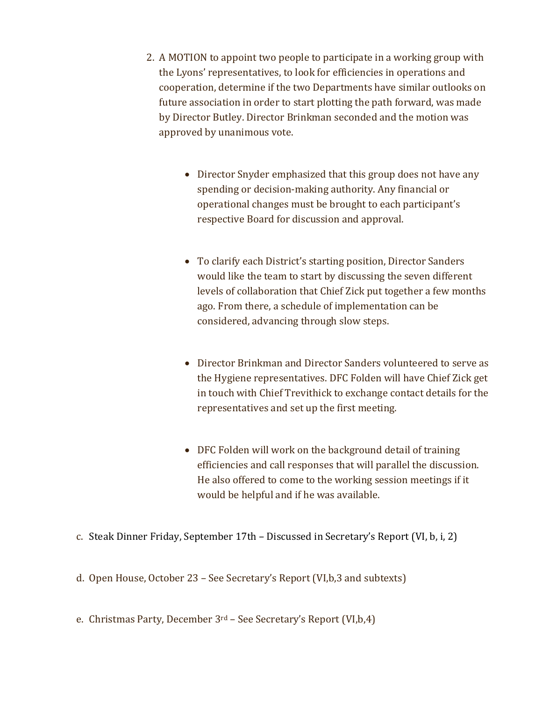- 2. A MOTION to appoint two people to participate in a working group with the Lyons' representatives, to look for efficiencies in operations and cooperation, determine if the two Departments have similar outlooks on future association in order to start plotting the path forward, was made by Director Butley. Director Brinkman seconded and the motion was approved by unanimous vote.
	- Director Snyder emphasized that this group does not have any spending or decision-making authority. Any financial or operational changes must be brought to each participant's respective Board for discussion and approval.
	- To clarify each District's starting position, Director Sanders would like the team to start by discussing the seven different levels of collaboration that Chief Zick put together a few months ago. From there, a schedule of implementation can be considered, advancing through slow steps.
	- Director Brinkman and Director Sanders volunteered to serve as the Hygiene representatives. DFC Folden will have Chief Zick get in touch with Chief Trevithick to exchange contact details for the representatives and set up the first meeting.
	- DFC Folden will work on the background detail of training efficiencies and call responses that will parallel the discussion. He also offered to come to the working session meetings if it would be helpful and if he was available.
- c. Steak Dinner Friday, September 17th Discussed in Secretary's Report (VI, b, i, 2)
- d. Open House, October 23 See Secretary's Report (VI,b,3 and subtexts)
- e. Christmas Party, December 3rd See Secretary's Report (VI,b,4)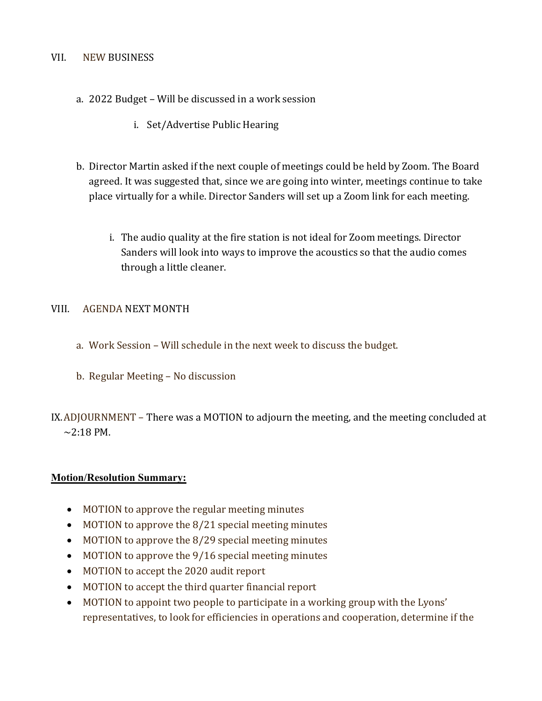#### VII. NEW BUSINESS

- a. 2022 Budget Will be discussed in a work session
	- i. Set/Advertise Public Hearing
- b. Director Martin asked if the next couple of meetings could be held by Zoom. The Board agreed. It was suggested that, since we are going into winter, meetings continue to take place virtually for a while. Director Sanders will set up a Zoom link for each meeting.
	- i. The audio quality at the fire station is not ideal for Zoom meetings. Director Sanders will look into ways to improve the acoustics so that the audio comes through a little cleaner.

#### VIII. AGENDA NEXT MONTH

- a. Work Session Will schedule in the next week to discuss the budget.
- b. Regular Meeting No discussion

IX.ADJOURNMENT – There was a MOTION to adjourn the meeting, and the meeting concluded at  $\sim$ 2:18 PM.

#### Motion/Resolution Summary:

- MOTION to approve the regular meeting minutes
- MOTION to approve the 8/21 special meeting minutes
- MOTION to approve the 8/29 special meeting minutes
- MOTION to approve the 9/16 special meeting minutes
- MOTION to accept the 2020 audit report
- MOTION to accept the third quarter financial report
- MOTION to appoint two people to participate in a working group with the Lyons' representatives, to look for efficiencies in operations and cooperation, determine if the